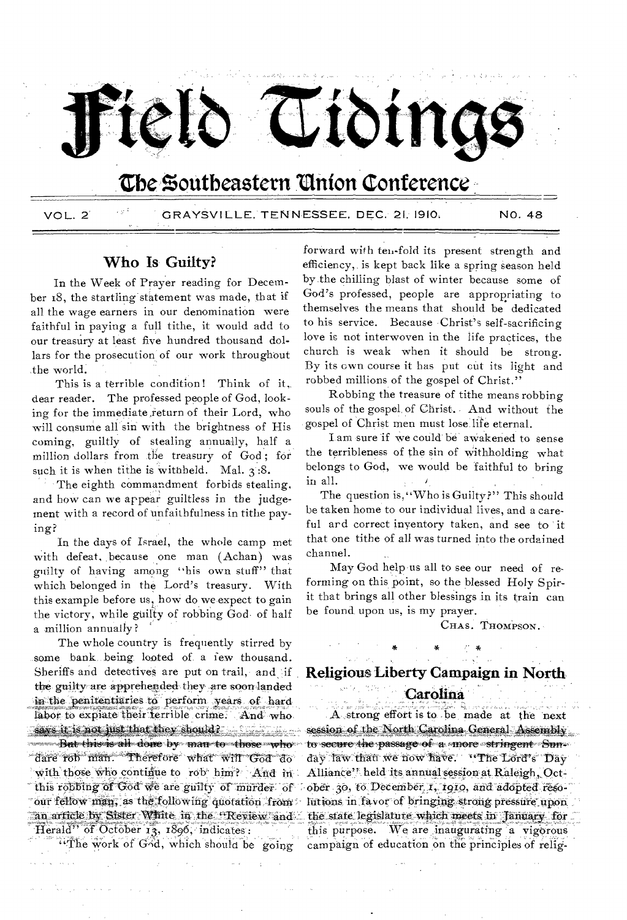

# **Cbe Zoutheastern 'Union Conference**

VOL. 2 CRAY8V1LLE. TENNESSEE, D**E**C.' 21;1910: NO. 48

# Who Is Guilty?

In the Week of Prayer reading for December 18, the startling statement was made, that if all the wage earners in our denomination were faithful in paying a full tithe, it would add to our treasury at least five hundred thousand dollars for the prosecution of our work throughout ,the world.

This is a terrible condition! Think of it, dear reader. The professed people of God, looking for the immediate return of their Lord, who will consume all sin with the brightness of His coming, guiltly of stealing annually, half a million dollars from the treasury of  $God$ ; for such it is when tithe is withheld. Mal.  $3:8$ .

The eighth commandment forbids stealing. and how can we appear guiltless in the judgement with a record of unfaithfulness in tithe paying?

In the days of Israel, the whole camp met with defeat, because one man (Achan) was guilty of having among "his own stuff" that which belonged in the Lord's treasury. With this example before us, how do we expect to gain the victory, while guilty of robbing God of half a million annually?

The whole country is frequently stirred by some bank being looted of a few thousand. Sheriffs and detectives are put on trail, and if the guilty are apprehended they are soon landed in the penitentiaries to perform years of hard labor to expiate their terrible crime. And who. *says it. is not just that they should?*<br>But this is all done by man to those who dare rob man. Therefore what will God do with those who continue to rob him? And in this robbing of God we are guilty of murder of our fellow man, as the following quotation from an article by Sister White in the Review and Herald" of October  $13, 1896$ , indicates:

"The work of God, which should be going

forward with ten-fold its present strength and efficiency, is kept back like a spring season held by the chilling blast of winter because some of God's professed, people are appropriating to themselves the means that should be dedicated to his service. Because Christ's self-sacrificing love is not interwoven in the life practices, the church is weak when it should be strong. By its own course it has put cut its light and robbed millions of the gospel of Christ."

Robbing the treasure of tithe means robbing souls of the gospel, of Christ. And without the gospel of Christ men must lose life eternal.

I am sure if we could' be aWakened to sense the terribleness of the sin of Withholding what belongs to God, we would be faithful to bring in all.

The question is, "Who is Guilty?" This should be taken home to our individual lives, and a careful and correct inventory taken, and see to it that one tithe of all was turned into the ordained channel.

May God help us all to see our need of reforming on this point, so the blessed Holy Spirit that brings all other blessings in its train can be found upon us, is my prayer.

CHAS. THOMPSON.

## Religious Liberty Campaign in North

# Carolina.

Contract

A strong effort is to be made at the next session of the North Carolina General Assembly to secure the passage of a -more stringent Sunday law than we now have. "The Lord's Day Alliance'' held its annual session at Raleigh, October 30, to December 1, 1910, and adopted resolutions in favor of bringing strong pressure upon the state legislature which meets in 'January for this purpose. We are inaugurating a vigorous campaign of education on the principles of relig-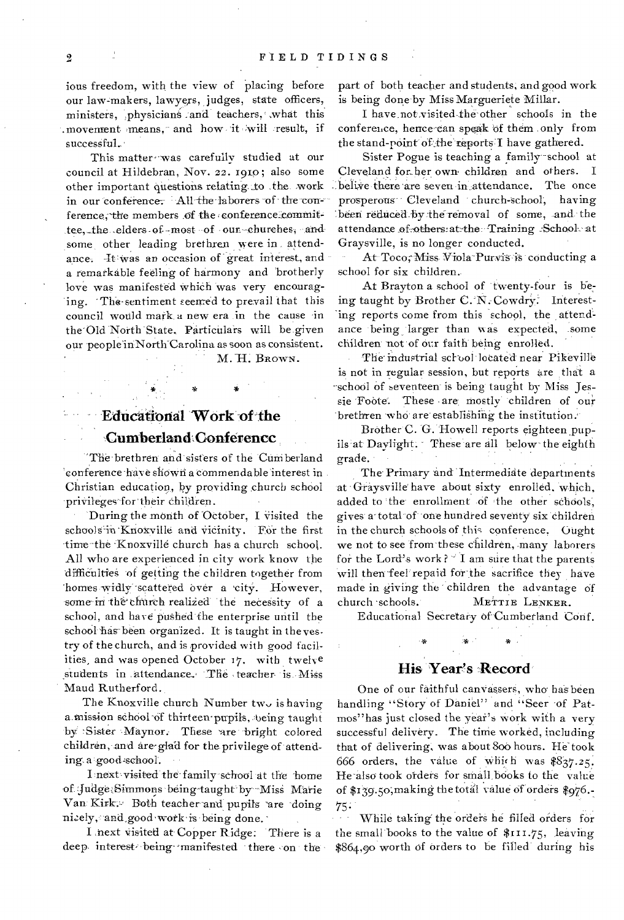ious freedom, with the view of placing before our law-makers, lawyers, judges, state officers, ministers, physicians and teachers, what this movement means, and how it will result, if successful.

This matter was carefully studied at our council at Hildebran, Nov. 22. 1910; also some other important questions relating to the work in our conference. All the laborers of the conference, the members of the conference committee, the elders of most of our churches, and some other leading brethren were in attendance. He was an occasion of great interest, and a remarkable feeling of harmony and brotherly love was manifested which was very encouraging. The sentiment seemed to prevail that this council would mark a new era in the cause in the Old North State. Particulars will be given our people in North Carolina as soon as consistent.

M.H. BROWN.

# **Educational Work of the** Cumberland Conferencc

The brethren and sisters of the Cumberland 'conference have shown a commendable interest in Christian education, by providing church school privileges for their children.

During the month of October, I visited the schools in Knoxville and vicinity. For the first time the Knoxville church has a church school. All who are experienced in city work know the difficulties of getting the children together from homes widly scattered over a city. However, some in the church realized the necessity of a school, and have pushed the enterprise until the school has been organized. It is taught in the vestry of the church, and is provided with good facilities, and was opened October 17. with twelve students in attendance. The teacher is Miss Maud Rutherford.

The Knoxville church Number two is having a mission school of thirteen pupils, being taught by Sister Maynor. These are bright colored children, and are glad for the privilege of attending a good school.

I next visited the family school at the home of Judge Simmons being taught by Miss Marie Van Kirk: Both teacher and pupils are doing nicely, and good work is being done.

I next visited at Copper Ridge: There is a deep interest being manifested there on the

part of both teacher and students, and good work is being done by Miss Margueriete Millar.

I have not visited the other schools in the conference, hence can speak of them only from the stand-point of the reports I have gathered.

Sister Pogue is teaching a family school at Cleveland for her own children and others.  $\mathsf{T}$ belive there are seven in attendance. The once prosperous Cleveland church-school, having been reduced by the removal of some, and the attendance of others at the Training School at Graysville, is no longer conducted.

At Toco, Miss Viola Purvis is conducting a school for six children.

At Brayton a school of twenty-four is being taught by Brother C. N. Cowdry. Interesting reports come from this school, the attendance being larger than was expected, some children not of our faith being enrolled.

The industrial school located near Pikeville is not in regular session, but reports are that a school of seventeen is being taught by Miss Jessie Foote. These are mostly children of our brethren who are establishing the institution.

Brother C. G. Howell reports eighteen pupils at Davlight. These are all below the eighth grade.

The Primary and Intermediate departments at Graysville have about sixty enrolled, which, added to the enrollment of the other schools, gives a total of one hundred seventy six children in the church schools of this conference. Gught we not to see from these children, many laborers for the Lord's work? I am sure that the parents will then feel repaid for the sacrifice they have made in giving the children the advantage of church schools. METTIE LENKER.

Educational Secretary of Cumberland Conf.

# His Year's Record

One of our faithful canvassers, who has been handling "Story of Daniel" and "Seer of Patmos" has just closed the year's work with a very successful delivery. The time worked, including that of delivering, was about 800 hours. He took 666 orders, the value of which was  $837.25$ . He also took orders for small books to the value of \$139.50, making the total value of orders \$976.  $75:$ 

While taking the orders he filled orders for the small books to the value of \$111.75, leaving \$864,90 worth of orders to be filled during his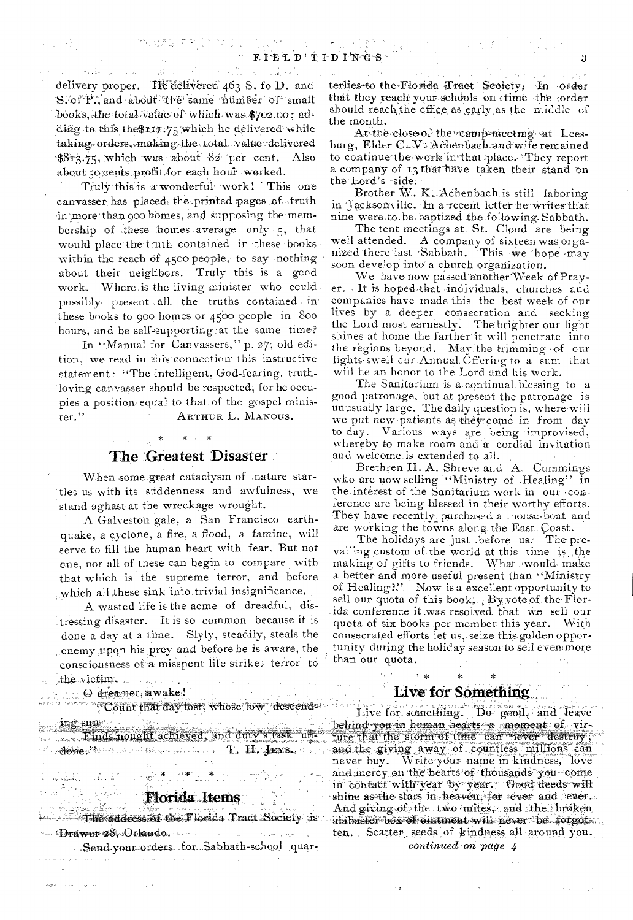$\mathcal{L}^{(1)}_{\mathcal{L}^{(1)}}(\mathcal{L}^{(2)}_{\mathcal{L}^{(1)}}(\mathcal{L}^{(1)}_{\mathcal{L}^{(1)}}(\mathcal{L}^{(2)}_{\mathcal{L}^{(1)}}(\mathcal{L}^{(2)}_{\mathcal{L}^{(2)}}(\mathcal{L}^{(2)}_{\mathcal{L}^{(2)}}(\mathcal{L}^{(2)}_{\mathcal{L}^{(2)}}(\mathcal{L}^{(2)}_{\mathcal{L}^{(2)}}(\mathcal{L}^{(2)}_{\mathcal{L}^{(2)}}(\mathcal{L}^{(2)}_{\mathcal{L}^{(2)}}(\mathcal{L}^{(2)}$ delivery proper. He delivered 463 S. fo D. and S. of P., and about the same number of small books, the total value of which was \$702.00; adding to this the \$117.75 which he delivered while taking orders, making the total value delivered \$8r3.75, which was about 82 per cent. Also about so cents profit for each hour worked.

コンティル・ソー やみなあし おお

Truly this is a wonderful work! This one canvasser has placed the printed pages of truth in more than 900 homes, and supposing the membership of these homes average only 5, that would place the truth contained in these books within the reach of 4500 people, to say nothing about their neighbors. Truly this is a good work. Where is the living minister who could. possibly present all the truths contained in these books to goo homes or 4500 people in 800 hours, and be self-supporting at the same time?

In "Manual for Canvassers," p. 27; old edition, we read in this connection this instructive statement: "The intelligent, God-fearing, truthloving canvasser should be respected, for he occupies a position equal to that of the gospel minister." ARTHUR L. MANOUS.

### \* \* \* \*

#### The Greatest Disaster

When some great cataclysm of nature startles us with its suddenness and awfulness, we stand aghast at the wreckage wrought.

A Galveston gale, a San Francisco earthquake, a cyclone, a fire, a flood, a famine, will serve to fill the human heart with fear. But not one, nor all of these can begin to compare with that which is the supreme terror, and before which all these sink into trivial insignificance.

A wasted life is the acme of dreadful, distressing disaster. It is so common because it is done a day at a time. Slyly, steadily, steals the enemy upon his prey and before he is aware, the consciousness of a misspent life strike; terror to the victim.

O dreamer, awake!

 $\sigma \cdot p(\rho) \rightarrow \beta \cdot \partial \gamma \rightarrow \gamma \rho \rho \rightarrow \infty$ 

Andre Margon (RA 1980)

"Count that day lost, whose low descend

ing sum<br>Finds nought achieved, and duty's task un- $\mathcal{C}$  , there is a constant of the  $\mathbf{T}$   $\mathbf{H}$  ,  $\mathbf{H}$  and  $\mathbf{S}_{\mathbf{w}}$  is a constant

# Florida Items

**Except The address of the Florida Tract Society is** - Drawer 28, Orlando.

Send your orders for Sabbath-school quar-

 $\mathcal{O}(\mathcal{A}(\mathcal{F}))$  . So the set of  $\mathcal{O}(\mathcal{F})$  ,  $\mathcal{O}(\mathcal{F})$ 

terlies to the Florida Tract Seciety. In order that they reach your schools on time the order should reach the cffice as early as the middle of the month.

3

At the close of the camp meeting at Leesburg, Elder C. V. Achenbach and wife remained to continue the work in that place. They report a company of 13 that have taken their stand on the Lord's side.

Brother W. K. Achenbach is still laboring in Jacksonville. In a recent letter he writes that nine were to be baptized the following Sabbath.

The tent meetings at St. Cloud are being well attended. A company of sixteen was organized there last Sabbath. This we hope may soon develop into a church organization.

We have now passed another Week of Prayer. It is hoped that individuals, churches and companies have made this the best week of our lives by a deeper consecration and seeking the Lord most earnestly. The brighter our light shines at home the farther it will penetrate into the regions beyond. May the trimming of our lights swell cur Annual Öffering to a sum that will be an honor to the Lord and his work.

The Sanitarium is a continual blessing to a good patronage, but at present the patronage is unusually large. The daily question is, where will we put new patients as they come in from day to day. Various ways are being improvised, whereby to make room and a cordial invitation and welcome is extended to all.

Brethren H. A. Shreve and A. Cummings who are now selling "Ministry of Healing" in the interest of the Sanitarium work in our conference are being blessed in their worthy efforts. They have recently purchased a house-boat and

are working the towns along the East Coast.<br>The holidays are just before us. The prevailing custom of the world at this time is the making of gifts to friends. What would make a better and more useful present than "Ministry of Healing?" Now is a excellent opportunity to sell our quota of this book. By vote of the Florida conference it was resolved that we sell our quota of six books per member this year. With consecrated efforts let us, seize this golden opportunity during the holiday season to sell even more than our quota.

#### Live for Something

Live for something. Do good, and leave behind you in human hearts a moment of virture that the storm of time can never destroy, and the giving away of countless millions can<br>never buy. Write your name in kindness, love and mercy on the hearts of thousands you come in contact with year by year. Good deeds will shine as the stars in heaven, for ever and ever. And giving of the two mites, and the broken alabaster box of cintment will never be forgot. ten. Scatter seeds of kindness all around you.

continued on page 4